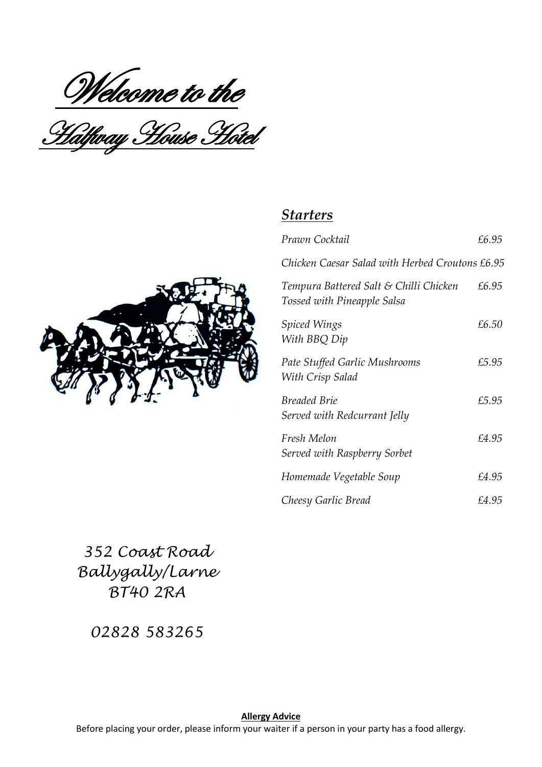Welcome to the

<u>Halfway House Hotel</u>



## *Starters*

| Prawn Cocktail                                                               | £6.95 |
|------------------------------------------------------------------------------|-------|
| Chicken Caesar Salad with Herbed Croutons £6.95                              |       |
| Tempura Battered Salt & Chilli Chicken<br><b>Tossed with Pineapple Salsa</b> | £6.95 |
| <i>Spiced Wings</i><br>With BBQ Dip                                          | £6.50 |
| Pate Stuffed Garlic Mushrooms<br>With Crisp Salad                            | £5.95 |
| <b>Breaded Brie</b><br>Served with Redcurrant Jelly                          | £5.95 |
| Fresh Melon<br>Served with Raspberry Sorbet                                  | £4.95 |
| Homemade Vegetable Soup                                                      | £4.95 |
| Cheesy Garlic Bread                                                          | £4.95 |

*352 Coast Road Ballygally/Larne BT40 2RA*

*02828 583265*